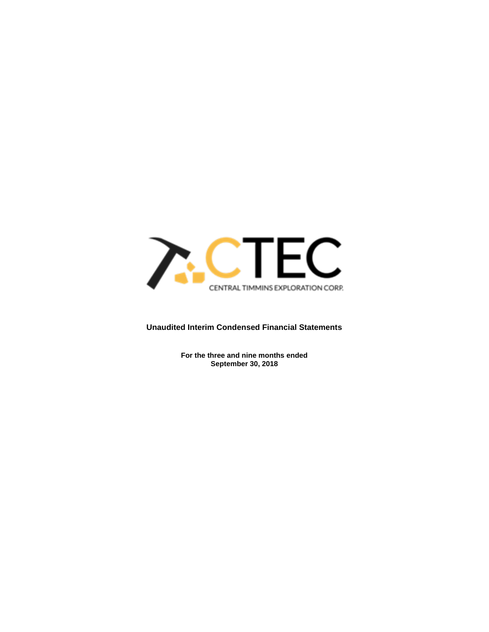

# **Unaudited Interim Condensed Financial Statements**

**For the three and nine months ended September 30, 2018**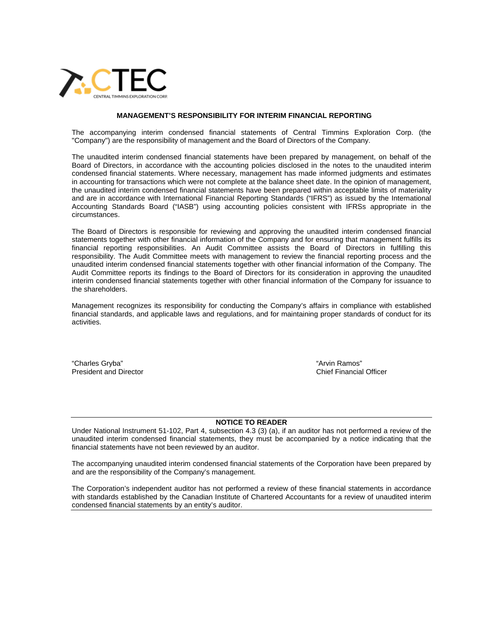

#### **MANAGEMENT'S RESPONSIBILITY FOR INTERIM FINANCIAL REPORTING**

The accompanying interim condensed financial statements of Central Timmins Exploration Corp. (the "Company") are the responsibility of management and the Board of Directors of the Company.

The unaudited interim condensed financial statements have been prepared by management, on behalf of the Board of Directors, in accordance with the accounting policies disclosed in the notes to the unaudited interim condensed financial statements. Where necessary, management has made informed judgments and estimates in accounting for transactions which were not complete at the balance sheet date. In the opinion of management, the unaudited interim condensed financial statements have been prepared within acceptable limits of materiality and are in accordance with International Financial Reporting Standards ("IFRS") as issued by the International Accounting Standards Board ("IASB") using accounting policies consistent with IFRSs appropriate in the circumstances.

The Board of Directors is responsible for reviewing and approving the unaudited interim condensed financial statements together with other financial information of the Company and for ensuring that management fulfills its financial reporting responsibilities. An Audit Committee assists the Board of Directors in fulfilling this responsibility. The Audit Committee meets with management to review the financial reporting process and the unaudited interim condensed financial statements together with other financial information of the Company. The Audit Committee reports its findings to the Board of Directors for its consideration in approving the unaudited interim condensed financial statements together with other financial information of the Company for issuance to the shareholders.

Management recognizes its responsibility for conducting the Company's affairs in compliance with established financial standards, and applicable laws and regulations, and for maintaining proper standards of conduct for its activities.

"Charles Gryba"  $\blacksquare$  "Arvin Ramos" President and Director **Chief Financial Officer** Chief Financial Officer

#### **NOTICE TO READER**

Under National Instrument 51-102, Part 4, subsection 4.3 (3) (a), if an auditor has not performed a review of the unaudited interim condensed financial statements, they must be accompanied by a notice indicating that the financial statements have not been reviewed by an auditor.

The accompanying unaudited interim condensed financial statements of the Corporation have been prepared by and are the responsibility of the Company's management.

The Corporation's independent auditor has not performed a review of these financial statements in accordance with standards established by the Canadian Institute of Chartered Accountants for a review of unaudited interim condensed financial statements by an entity's auditor.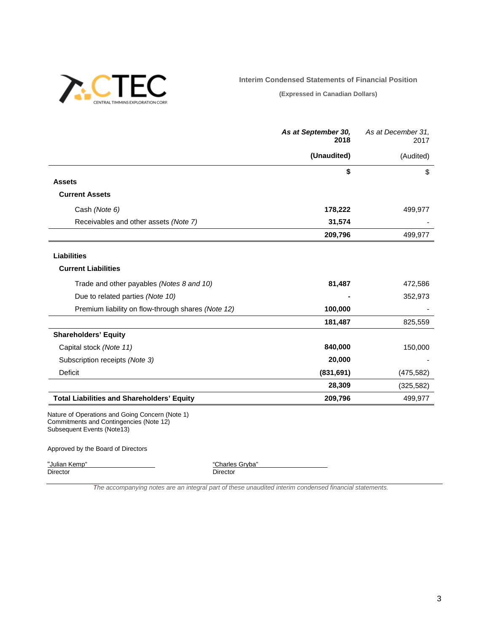

**Interim Condensed Statements of Financial Position**

**(Expressed in Canadian Dollars)**

|                                                    | As at September 30,<br>2018 | As at December 31.<br>2017 |
|----------------------------------------------------|-----------------------------|----------------------------|
|                                                    | (Unaudited)                 | (Audited)                  |
|                                                    | \$                          | \$                         |
| <b>Assets</b>                                      |                             |                            |
| <b>Current Assets</b>                              |                             |                            |
| Cash (Note 6)                                      | 178,222                     | 499,977                    |
| Receivables and other assets (Note 7)              | 31,574                      |                            |
|                                                    | 209,796                     | 499,977                    |
| <b>Liabilities</b>                                 |                             |                            |
| <b>Current Liabilities</b>                         |                             |                            |
| Trade and other payables (Notes 8 and 10)          | 81,487                      | 472,586                    |
| Due to related parties (Note 10)                   |                             | 352,973                    |
| Premium liability on flow-through shares (Note 12) | 100,000                     |                            |
|                                                    | 181,487                     | 825,559                    |
| <b>Shareholders' Equity</b>                        |                             |                            |
| Capital stock (Note 11)                            | 840,000                     | 150,000                    |
| Subscription receipts (Note 3)                     | 20,000                      |                            |
| <b>Deficit</b>                                     | (831, 691)                  | (475, 582)                 |
|                                                    | 28,309                      | (325, 582)                 |
| <b>Total Liabilities and Shareholders' Equity</b>  | 209,796                     | 499,977                    |
| Nature of Operations and Going Concern (Note 1)    |                             |                            |

Commitments and Contingencies (Note 12) Subsequent Events (Note13)

#### Approved by the Board of Directors

"Julian Kemp"<br>Director

"Charles Gryba"<br>Director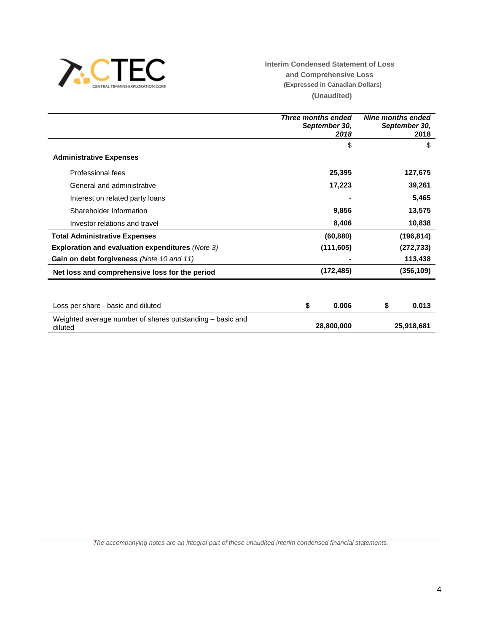

**Interim Condensed Statement of Loss and Comprehensive Loss (Expressed in Canadian Dollars) (Unaudited)**

|                                                                      | <b>Three months ended</b><br>September 30,<br>2018 | Nine months ended<br>September 30,<br>2018 |
|----------------------------------------------------------------------|----------------------------------------------------|--------------------------------------------|
|                                                                      | \$                                                 | \$                                         |
| <b>Administrative Expenses</b>                                       |                                                    |                                            |
| Professional fees                                                    | 25,395                                             | 127,675                                    |
| General and administrative                                           | 17,223                                             | 39,261                                     |
| Interest on related party loans                                      |                                                    | 5,465                                      |
| Shareholder Information                                              | 9,856                                              | 13,575                                     |
| Investor relations and travel                                        | 8,406                                              | 10,838                                     |
| <b>Total Administrative Expenses</b>                                 | (60, 880)                                          | (196, 814)                                 |
| <b>Exploration and evaluation expenditures (Note 3)</b>              | (111, 605)                                         | (272, 733)                                 |
| Gain on debt forgiveness (Note 10 and 11)                            |                                                    | 113,438                                    |
| Net loss and comprehensive loss for the period                       | (172, 485)                                         | (356, 109)                                 |
|                                                                      |                                                    |                                            |
| Loss per share - basic and diluted                                   | \$<br>0.006                                        | 0.013<br>\$                                |
| Weighted average number of shares outstanding – basic and<br>diluted | 28,800,000                                         | 25,918,681                                 |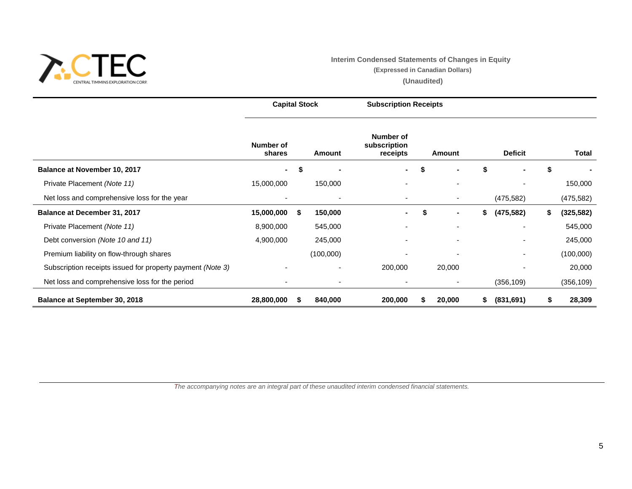

# **Interim Condensed Statements of Changes in Equity**

**(Expressed in Canadian Dollars)**

**(Unaudited)**

|                                                            | <b>Capital Stock</b> |    |           | <b>Subscription Receipts</b>          |        |    |                |    |            |
|------------------------------------------------------------|----------------------|----|-----------|---------------------------------------|--------|----|----------------|----|------------|
|                                                            | Number of<br>shares  |    | Amount    | Number of<br>subscription<br>receipts | Amount |    | <b>Deficit</b> |    | Total      |
| Balance at November 10, 2017                               | $\blacksquare$       | \$ |           | ۰.                                    | \$     | \$ |                |    |            |
| Private Placement (Note 11)                                | 15,000,000           |    | 150,000   |                                       |        |    |                |    | 150,000    |
| Net loss and comprehensive loss for the year               |                      |    |           |                                       |        |    | (475, 582)     |    | (475, 582) |
| Balance at December 31, 2017                               | 15,000,000           | S. | 150,000   |                                       | \$     | \$ | (475, 582)     | \$ | (325, 582) |
| Private Placement (Note 11)                                | 8,900,000            |    | 545,000   |                                       |        |    |                |    | 545,000    |
| Debt conversion (Note 10 and 11)                           | 4,900,000            |    | 245,000   |                                       |        |    |                |    | 245,000    |
| Premium liability on flow-through shares                   |                      |    | (100,000) |                                       |        |    |                |    | (100,000)  |
| Subscription receipts issued for property payment (Note 3) |                      |    |           | 200,000                               | 20,000 |    |                |    | 20,000     |
| Net loss and comprehensive loss for the period             |                      |    |           |                                       |        |    | (356, 109)     |    | (356, 109) |
| <b>Balance at September 30, 2018</b>                       | 28,800,000           | S  | 840,000   | 200,000                               | 20,000 | S. | (831, 691)     | S  | 28,309     |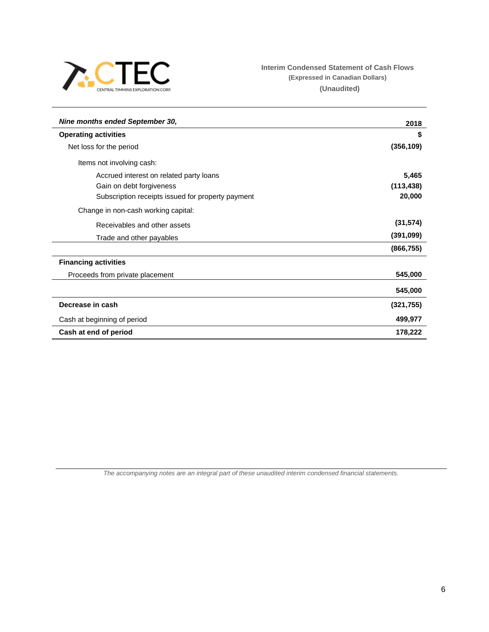

# **Interim Condensed Statement of Cash Flows (Expressed in Canadian Dollars) (Unaudited)**

| Nine months ended September 30,                   | 2018       |
|---------------------------------------------------|------------|
| <b>Operating activities</b>                       | \$         |
| Net loss for the period                           | (356, 109) |
| Items not involving cash:                         |            |
| Accrued interest on related party loans           | 5,465      |
| Gain on debt forgiveness                          | (113, 438) |
| Subscription receipts issued for property payment | 20,000     |
| Change in non-cash working capital:               |            |
| Receivables and other assets                      | (31, 574)  |
| Trade and other payables                          | (391,099)  |
|                                                   | (866, 755) |
| <b>Financing activities</b>                       |            |
| Proceeds from private placement                   | 545,000    |
|                                                   | 545,000    |
| Decrease in cash                                  | (321, 755) |
| Cash at beginning of period                       | 499,977    |
| Cash at end of period                             | 178,222    |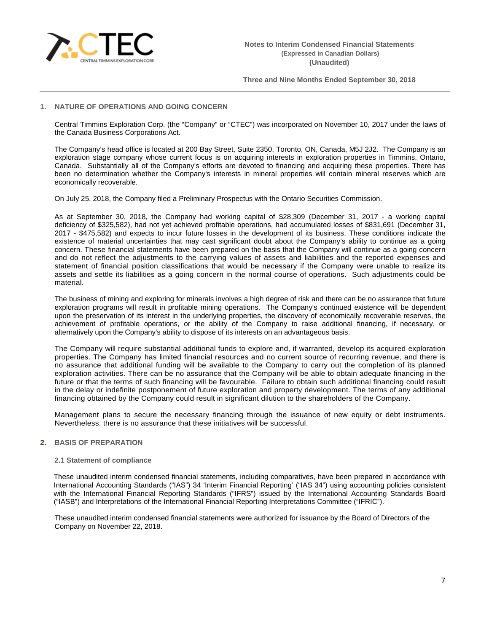

## **1. NATURE OF OPERATIONS AND GOING CONCERN**

Central Timmins Exploration Corp. (the "Company" or "CTEC") was incorporated on November 10, 2017 under the laws of the Canada Business Corporations Act.

The Company's head office is located at 200 Bay Street, Suite 2350, Toronto, ON, Canada, M5J 2J2. The Company is an exploration stage company whose current focus is on acquiring interests in exploration properties in Timmins, Ontario, Canada. Substantially all of the Company's efforts are devoted to financing and acquiring these properties. There has been no determination whether the Company's interests in mineral properties will contain mineral reserves which are economically recoverable.

On July 25, 2018, the Company filed a Preliminary Prospectus with the Ontario Securities Commission.

As at September 30, 2018, the Company had working capital of \$28,309 (December 31, 2017 - a working capital deficiency of \$325,582), had not yet achieved profitable operations, had accumulated losses of \$831,691 (December 31, 2017 - \$475,582) and expects to incur future losses in the development of its business. These conditions indicate the existence of material uncertainties that may cast significant doubt about the Company's ability to continue as a going concern. These financial statements have been prepared on the basis that the Company will continue as a going concern and do not reflect the adjustments to the carrying values of assets and liabilities and the reported expenses and statement of financial position classifications that would be necessary if the Company were unable to realize its assets and settle its liabilities as a going concern in the normal course of operations. Such adjustments could be material.

The business of mining and exploring for minerals involves a high degree of risk and there can be no assurance that future exploration programs will result in profitable mining operations. The Company's continued existence will be dependent upon the preservation of its interest in the underlying properties, the discovery of economically recoverable reserves, the achievement of profitable operations, or the ability of the Company to raise additional financing, if necessary, or alternatively upon the Company's ability to dispose of its interests on an advantageous basis.

The Company will require substantial additional funds to explore and, if warranted, develop its acquired exploration properties. The Company has limited financial resources and no current source of recurring revenue, and there is no assurance that additional funding will be available to the Company to carry out the completion of its planned exploration activities. There can be no assurance that the Company will be able to obtain adequate financing in the future or that the terms of such financing will be favourable. Failure to obtain such additional financing could result in the delay or indefinite postponement of future exploration and property development. The terms of any additional financing obtained by the Company could result in significant dilution to the shareholders of the Company.

Management plans to secure the necessary financing through the issuance of new equity or debt instruments. Nevertheless, there is no assurance that these initiatives will be successful.

## **2. BASIS OF PREPARATION**

#### **2.1 Statement of compliance**

These unaudited interim condensed financial statements, including comparatives, have been prepared in accordance with International Accounting Standards ("IAS") 34 'Interim Financial Reporting' ("IAS 34") using accounting policies consistent with the International Financial Reporting Standards ("IFRS") issued by the International Accounting Standards Board ("IASB") and Interpretations of the International Financial Reporting Interpretations Committee ("IFRIC").

These unaudited interim condensed financial statements were authorized for issuance by the Board of Directors of the Company on November 22, 2018.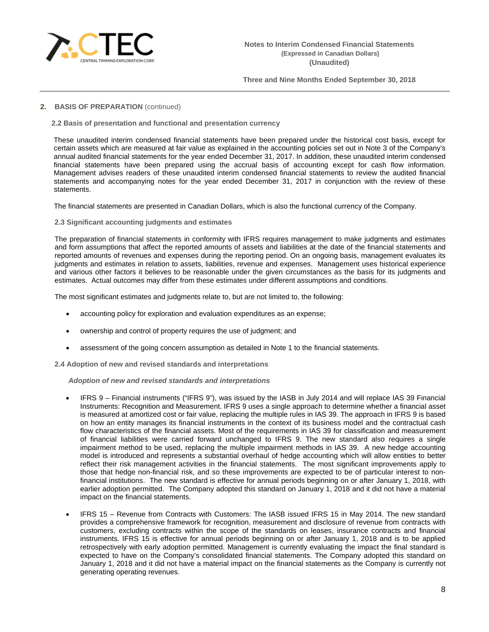

## **2. BASIS OF PREPARATION** (continued)

## **2.2 Basis of presentation and functional and presentation currency**

These unaudited interim condensed financial statements have been prepared under the historical cost basis, except for certain assets which are measured at fair value as explained in the accounting policies set out in Note 3 of the Company's annual audited financial statements for the year ended December 31, 2017. In addition, these unaudited interim condensed financial statements have been prepared using the accrual basis of accounting except for cash flow information. Management advises readers of these unaudited interim condensed financial statements to review the audited financial statements and accompanying notes for the year ended December 31, 2017 in conjunction with the review of these statements.

The financial statements are presented in Canadian Dollars, which is also the functional currency of the Company.

#### **2.3 Significant accounting judgments and estimates**

The preparation of financial statements in conformity with IFRS requires management to make judgments and estimates and form assumptions that affect the reported amounts of assets and liabilities at the date of the financial statements and reported amounts of revenues and expenses during the reporting period. On an ongoing basis, management evaluates its judgments and estimates in relation to assets, liabilities, revenue and expenses. Management uses historical experience and various other factors it believes to be reasonable under the given circumstances as the basis for its judgments and estimates. Actual outcomes may differ from these estimates under different assumptions and conditions.

The most significant estimates and judgments relate to, but are not limited to, the following:

- accounting policy for exploration and evaluation expenditures as an expense;
- ownership and control of property requires the use of judgment; and
- assessment of the going concern assumption as detailed in Note 1 to the financial statements.

**2.4 Adoption of new and revised standards and interpretations**

*Adoption of new and revised standards and interpretations*

- IFRS 9 Financial instruments ("IFRS 9"), was issued by the IASB in July 2014 and will replace IAS 39 Financial Instruments: Recognition and Measurement. IFRS 9 uses a single approach to determine whether a financial asset is measured at amortized cost or fair value, replacing the multiple rules in IAS 39. The approach in IFRS 9 is based on how an entity manages its financial instruments in the context of its business model and the contractual cash flow characteristics of the financial assets. Most of the requirements in IAS 39 for classification and measurement of financial liabilities were carried forward unchanged to IFRS 9. The new standard also requires a single impairment method to be used, replacing the multiple impairment methods in IAS 39. A new hedge accounting model is introduced and represents a substantial overhaul of hedge accounting which will allow entities to better reflect their risk management activities in the financial statements. The most significant improvements apply to those that hedge non-financial risk, and so these improvements are expected to be of particular interest to nonfinancial institutions. The new standard is effective for annual periods beginning on or after January 1, 2018, with earlier adoption permitted. The Company adopted this standard on January 1, 2018 and it did not have a material impact on the financial statements.
- IFRS 15 Revenue from Contracts with Customers: The IASB issued IFRS 15 in May 2014. The new standard provides a comprehensive framework for recognition, measurement and disclosure of revenue from contracts with customers, excluding contracts within the scope of the standards on leases, insurance contracts and financial instruments. IFRS 15 is effective for annual periods beginning on or after January 1, 2018 and is to be applied retrospectively with early adoption permitted. Management is currently evaluating the impact the final standard is expected to have on the Company's consolidated financial statements. The Company adopted this standard on January 1, 2018 and it did not have a material impact on the financial statements as the Company is currently not generating operating revenues.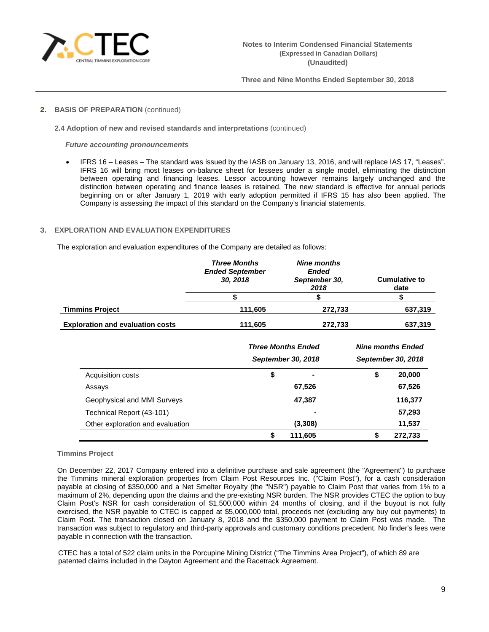

# **2. BASIS OF PREPARATION** (continued)

**2.4 Adoption of new and revised standards and interpretations** (continued)

*Future accounting pronouncements*

• IFRS 16 – Leases – The standard was issued by the IASB on January 13, 2016, and will replace IAS 17, "Leases". IFRS 16 will bring most leases on-balance sheet for lessees under a single model, eliminating the distinction between operating and financing leases. Lessor accounting however remains largely unchanged and the distinction between operating and finance leases is retained. The new standard is effective for annual periods beginning on or after January 1, 2019 with early adoption permitted if IFRS 15 has also been applied. The Company is assessing the impact of this standard on the Company's financial statements.

# **3. EXPLORATION AND EVALUATION EXPENDITURES**

The exploration and evaluation expenditures of the Company are detailed as follows:

|                                         | <b>Three Months</b><br><b>Ended September</b><br>30, 2018 | <b>Nine months</b><br><b>Ended</b><br>September 30,<br>2018 | <b>Cumulative to</b><br>date |
|-----------------------------------------|-----------------------------------------------------------|-------------------------------------------------------------|------------------------------|
|                                         |                                                           |                                                             |                              |
| <b>Timmins Project</b>                  | 111,605                                                   | 272,733                                                     | 637,319                      |
| <b>Exploration and evaluation costs</b> | 111,605                                                   | 272,733                                                     | 637,319                      |

|                                  |    | <b>Three Months Ended</b><br>September 30, 2018 |    | <b>Nine months Ended</b><br>September 30, 2018 |
|----------------------------------|----|-------------------------------------------------|----|------------------------------------------------|
| Acquisition costs                | \$ |                                                 | \$ | 20,000                                         |
| Assays                           |    | 67,526                                          |    | 67,526                                         |
| Geophysical and MMI Surveys      |    | 47,387                                          |    | 116,377                                        |
| Technical Report (43-101)        |    | $\blacksquare$                                  |    | 57,293                                         |
| Other exploration and evaluation |    | (3,308)                                         |    | 11,537                                         |
|                                  | S  | 111,605                                         | S  | 272,733                                        |

## **Timmins Project**

On December 22, 2017 Company entered into a definitive purchase and sale agreement (the "Agreement") to purchase the Timmins mineral exploration properties from Claim Post Resources Inc. ("Claim Post"), for a cash consideration payable at closing of \$350,000 and a Net Smelter Royalty (the "NSR") payable to Claim Post that varies from 1% to a maximum of 2%, depending upon the claims and the pre-existing NSR burden. The NSR provides CTEC the option to buy Claim Post's NSR for cash consideration of \$1,500,000 within 24 months of closing, and if the buyout is not fully exercised, the NSR payable to CTEC is capped at \$5,000,000 total, proceeds net (excluding any buy out payments) to Claim Post. The transaction closed on January 8, 2018 and the \$350,000 payment to Claim Post was made. The transaction was subject to regulatory and third-party approvals and customary conditions precedent. No finder's fees were payable in connection with the transaction.

CTEC has a total of 522 claim units in the Porcupine Mining District ("The Timmins Area Project"), of which 89 are patented claims included in the Dayton Agreement and the Racetrack Agreement.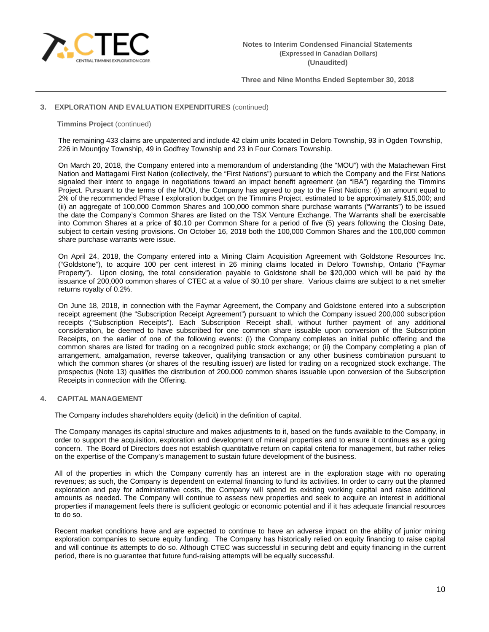

## **3. EXPLORATION AND EVALUATION EXPENDITURES** (continued)

#### **Timmins Project** (continued)

The remaining 433 claims are unpatented and include 42 claim units located in Deloro Township, 93 in Ogden Township, 226 in Mountjoy Township, 49 in Godfrey Township and 23 in Four Corners Township.

On March 20, 2018, the Company entered into a memorandum of understanding (the "MOU") with the Matachewan First Nation and Mattagami First Nation (collectively, the "First Nations") pursuant to which the Company and the First Nations signaled their intent to engage in negotiations toward an impact benefit agreement (an "IBA") regarding the Timmins Project. Pursuant to the terms of the MOU, the Company has agreed to pay to the First Nations: (i) an amount equal to 2% of the recommended Phase I exploration budget on the Timmins Project, estimated to be approximately \$15,000; and (ii) an aggregate of 100,000 Common Shares and 100,000 common share purchase warrants ("Warrants") to be issued the date the Company's Common Shares are listed on the TSX Venture Exchange. The Warrants shall be exercisable into Common Shares at a price of \$0.10 per Common Share for a period of five (5) years following the Closing Date, subject to certain vesting provisions. On October 16, 2018 both the 100,000 Common Shares and the 100,000 common share purchase warrants were issue.

On April 24, 2018, the Company entered into a Mining Claim Acquisition Agreement with Goldstone Resources Inc. ("Goldstone"), to acquire 100 per cent interest in 26 mining claims located in Deloro Township, Ontario ("Faymar Property"). Upon closing, the total consideration payable to Goldstone shall be \$20,000 which will be paid by the issuance of 200,000 common shares of CTEC at a value of \$0.10 per share. Various claims are subject to a net smelter returns royalty of 0.2%.

On June 18, 2018, in connection with the Faymar Agreement, the Company and Goldstone entered into a subscription receipt agreement (the "Subscription Receipt Agreement") pursuant to which the Company issued 200,000 subscription receipts ("Subscription Receipts"). Each Subscription Receipt shall, without further payment of any additional consideration, be deemed to have subscribed for one common share issuable upon conversion of the Subscription Receipts, on the earlier of one of the following events: (i) the Company completes an initial public offering and the common shares are listed for trading on a recognized public stock exchange; or (ii) the Company completing a plan of arrangement, amalgamation, reverse takeover, qualifying transaction or any other business combination pursuant to which the common shares (or shares of the resulting issuer) are listed for trading on a recognized stock exchange. The prospectus (Note 13) qualifies the distribution of 200,000 common shares issuable upon conversion of the Subscription Receipts in connection with the Offering.

## **4. CAPITAL MANAGEMENT**

The Company includes shareholders equity (deficit) in the definition of capital.

The Company manages its capital structure and makes adjustments to it, based on the funds available to the Company, in order to support the acquisition, exploration and development of mineral properties and to ensure it continues as a going concern. The Board of Directors does not establish quantitative return on capital criteria for management, but rather relies on the expertise of the Company's management to sustain future development of the business.

All of the properties in which the Company currently has an interest are in the exploration stage with no operating revenues; as such, the Company is dependent on external financing to fund its activities. In order to carry out the planned exploration and pay for administrative costs, the Company will spend its existing working capital and raise additional amounts as needed. The Company will continue to assess new properties and seek to acquire an interest in additional properties if management feels there is sufficient geologic or economic potential and if it has adequate financial resources to do so.

Recent market conditions have and are expected to continue to have an adverse impact on the ability of junior mining exploration companies to secure equity funding. The Company has historically relied on equity financing to raise capital and will continue its attempts to do so. Although CTEC was successful in securing debt and equity financing in the current period, there is no guarantee that future fund-raising attempts will be equally successful.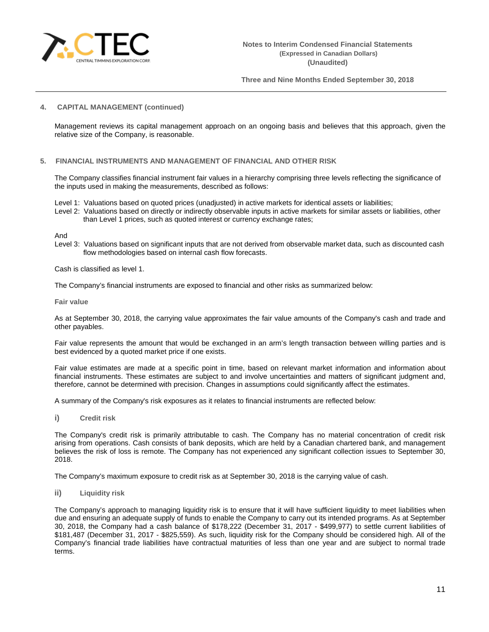

## **4. CAPITAL MANAGEMENT (continued)**

Management reviews its capital management approach on an ongoing basis and believes that this approach, given the relative size of the Company, is reasonable.

## **5. FINANCIAL INSTRUMENTS AND MANAGEMENT OF FINANCIAL AND OTHER RISK**

The Company classifies financial instrument fair values in a hierarchy comprising three levels reflecting the significance of the inputs used in making the measurements, described as follows:

Level 1: Valuations based on quoted prices (unadjusted) in active markets for identical assets or liabilities;

Level 2: Valuations based on directly or indirectly observable inputs in active markets for similar assets or liabilities, other than Level 1 prices, such as quoted interest or currency exchange rates;

And

Level 3: Valuations based on significant inputs that are not derived from observable market data, such as discounted cash flow methodologies based on internal cash flow forecasts.

Cash is classified as level 1.

The Company's financial instruments are exposed to financial and other risks as summarized below:

**Fair value**

As at September 30, 2018, the carrying value approximates the fair value amounts of the Company's cash and trade and other payables.

Fair value represents the amount that would be exchanged in an arm's length transaction between willing parties and is best evidenced by a quoted market price if one exists.

Fair value estimates are made at a specific point in time, based on relevant market information and information about financial instruments. These estimates are subject to and involve uncertainties and matters of significant judgment and, therefore, cannot be determined with precision. Changes in assumptions could significantly affect the estimates.

A summary of the Company's risk exposures as it relates to financial instruments are reflected below:

**i) Credit risk**

The Company's credit risk is primarily attributable to cash. The Company has no material concentration of credit risk arising from operations. Cash consists of bank deposits, which are held by a Canadian chartered bank, and management believes the risk of loss is remote. The Company has not experienced any significant collection issues to September 30, 2018.

The Company's maximum exposure to credit risk as at September 30, 2018 is the carrying value of cash.

**ii) Liquidity risk**

The Company's approach to managing liquidity risk is to ensure that it will have sufficient liquidity to meet liabilities when due and ensuring an adequate supply of funds to enable the Company to carry out its intended programs. As at September 30, 2018, the Company had a cash balance of \$178,222 (December 31, 2017 - \$499,977) to settle current liabilities of \$181,487 (December 31, 2017 - \$825,559). As such, liquidity risk for the Company should be considered high. All of the Company's financial trade liabilities have contractual maturities of less than one year and are subject to normal trade terms.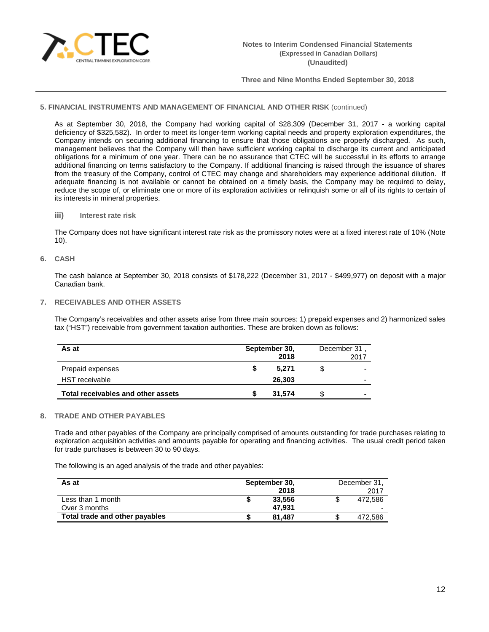

## **5. FINANCIAL INSTRUMENTS AND MANAGEMENT OF FINANCIAL AND OTHER RISK** (continued)

As at September 30, 2018, the Company had working capital of \$28,309 (December 31, 2017 - a working capital deficiency of \$325,582). In order to meet its longer-term working capital needs and property exploration expenditures, the Company intends on securing additional financing to ensure that those obligations are properly discharged. As such, management believes that the Company will then have sufficient working capital to discharge its current and anticipated obligations for a minimum of one year. There can be no assurance that CTEC will be successful in its efforts to arrange additional financing on terms satisfactory to the Company. If additional financing is raised through the issuance of shares from the treasury of the Company, control of CTEC may change and shareholders may experience additional dilution. If adequate financing is not available or cannot be obtained on a timely basis, the Company may be required to delay, reduce the scope of, or eliminate one or more of its exploration activities or relinquish some or all of its rights to certain of its interests in mineral properties.

# **iii) Interest rate risk**

The Company does not have significant interest rate risk as the promissory notes were at a fixed interest rate of 10% (Note 10).

## **6. CASH**

The cash balance at September 30, 2018 consists of \$178,222 (December 31, 2017 - \$499,977) on deposit with a major Canadian bank.

## **7. RECEIVABLES AND OTHER ASSETS**

The Company's receivables and other assets arise from three main sources: 1) prepaid expenses and 2) harmonized sales tax ("HST") receivable from government taxation authorities. These are broken down as follows:

| As at                              | September 30,<br>2018 |   | December 31,<br>2017     |
|------------------------------------|-----------------------|---|--------------------------|
| Prepaid expenses                   | 5.271                 |   | $\overline{\phantom{0}}$ |
| <b>HST</b> receivable              | 26,303                |   | $\overline{\phantom{0}}$ |
| Total receivables and other assets | 31.574                | S | $\overline{\phantom{0}}$ |

#### **8. TRADE AND OTHER PAYABLES**

Trade and other payables of the Company are principally comprised of amounts outstanding for trade purchases relating to exploration acquisition activities and amounts payable for operating and financing activities. The usual credit period taken for trade purchases is between 30 to 90 days.

The following is an aged analysis of the trade and other payables:

| As at                          | September 30, |        | December 31, |
|--------------------------------|---------------|--------|--------------|
|                                |               | 2018   | 2017         |
| Less than 1 month              |               | 33,556 | 472.586      |
| Over 3 months                  |               | 47.931 |              |
| Total trade and other payables |               | 81.487 | 472.586      |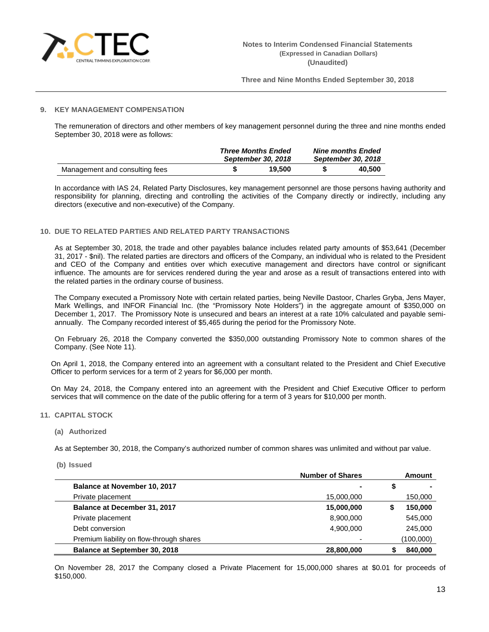

## **9. KEY MANAGEMENT COMPENSATION**

The remuneration of directors and other members of key management personnel during the three and nine months ended September 30, 2018 were as follows:

|                                | <b>Three Months Ended</b><br>September 30, 2018 |        | <b>Nine months Ended</b><br>September 30, 2018 |        |  |
|--------------------------------|-------------------------------------------------|--------|------------------------------------------------|--------|--|
| Management and consulting fees |                                                 | 19.500 |                                                | 40.500 |  |

In accordance with IAS 24, Related Party Disclosures, key management personnel are those persons having authority and responsibility for planning, directing and controlling the activities of the Company directly or indirectly, including any directors (executive and non-executive) of the Company.

## **10. DUE TO RELATED PARTIES AND RELATED PARTY TRANSACTIONS**

As at September 30, 2018, the trade and other payables balance includes related party amounts of \$53,641 (December 31, 2017 - \$nil). The related parties are directors and officers of the Company, an individual who is related to the President and CEO of the Company and entities over which executive management and directors have control or significant influence. The amounts are for services rendered during the year and arose as a result of transactions entered into with the related parties in the ordinary course of business.

The Company executed a Promissory Note with certain related parties, being Neville Dastoor, Charles Gryba, Jens Mayer, Mark Wellings, and INFOR Financial Inc. (the "Promissory Note Holders") in the aggregate amount of \$350,000 on December 1, 2017. The Promissory Note is unsecured and bears an interest at a rate 10% calculated and payable semiannually. The Company recorded interest of \$5,465 during the period for the Promissory Note.

On February 26, 2018 the Company converted the \$350,000 outstanding Promissory Note to common shares of the Company. (See Note 11).

On April 1, 2018, the Company entered into an agreement with a consultant related to the President and Chief Executive Officer to perform services for a term of 2 years for \$6,000 per month.

On May 24, 2018, the Company entered into an agreement with the President and Chief Executive Officer to perform services that will commence on the date of the public offering for a term of 3 years for \$10,000 per month.

## **11. CAPITAL STOCK**

## **(a) Authorized**

As at September 30, 2018, the Company's authorized number of common shares was unlimited and without par value.

**(b) Issued**

|                                          | <b>Number of Shares</b> | Amount    |
|------------------------------------------|-------------------------|-----------|
| Balance at November 10, 2017             | $\blacksquare$          | \$        |
| Private placement                        | 15,000,000              | 150,000   |
| Balance at December 31, 2017             | 15,000,000              | 150,000   |
| Private placement                        | 8,900,000               | 545,000   |
| Debt conversion                          | 4,900,000               | 245,000   |
| Premium liability on flow-through shares |                         | (100,000) |
| <b>Balance at September 30, 2018</b>     | 28,800,000              | 840,000   |

On November 28, 2017 the Company closed a Private Placement for 15,000,000 shares at \$0.01 for proceeds of \$150,000.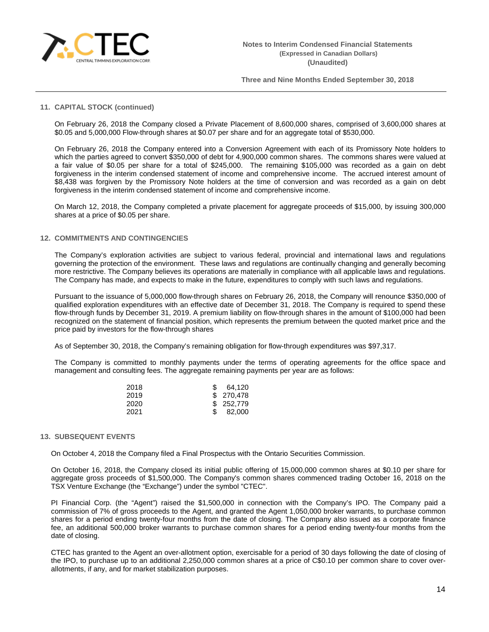

#### **11. CAPITAL STOCK (continued)**

On February 26, 2018 the Company closed a Private Placement of 8,600,000 shares, comprised of 3,600,000 shares at \$0.05 and 5,000,000 Flow-through shares at \$0.07 per share and for an aggregate total of \$530,000.

On February 26, 2018 the Company entered into a Conversion Agreement with each of its Promissory Note holders to which the parties agreed to convert \$350,000 of debt for 4,900,000 common shares. The commons shares were valued at a fair value of \$0.05 per share for a total of \$245,000. The remaining \$105,000 was recorded as a gain on debt forgiveness in the interim condensed statement of income and comprehensive income. The accrued interest amount of \$8,438 was forgiven by the Promissory Note holders at the time of conversion and was recorded as a gain on debt forgiveness in the interim condensed statement of income and comprehensive income.

On March 12, 2018, the Company completed a private placement for aggregate proceeds of \$15,000, by issuing 300,000 shares at a price of \$0.05 per share.

#### **12. COMMITMENTS AND CONTINGENCIES**

The Company's exploration activities are subject to various federal, provincial and international laws and regulations governing the protection of the environment. These laws and regulations are continually changing and generally becoming more restrictive. The Company believes its operations are materially in compliance with all applicable laws and regulations. The Company has made, and expects to make in the future, expenditures to comply with such laws and regulations.

Pursuant to the issuance of 5,000,000 flow-through shares on February 26, 2018, the Company will renounce \$350,000 of qualified exploration expenditures with an effective date of December 31, 2018. The Company is required to spend these flow-through funds by December 31, 2019. A premium liability on flow-through shares in the amount of \$100,000 had been recognized on the statement of financial position, which represents the premium between the quoted market price and the price paid by investors for the flow-through shares

As of September 30, 2018, the Company's remaining obligation for flow-through expenditures was \$97,317.

The Company is committed to monthly payments under the terms of operating agreements for the office space and management and consulting fees. The aggregate remaining payments per year are as follows:

| 2018 | 64.120     |
|------|------------|
| 2019 | \$ 270,478 |
| 2020 | \$ 252,779 |
| 2021 | 82,000     |

## **13. SUBSEQUENT EVENTS**

On October 4, 2018 the Company filed a Final Prospectus with the Ontario Securities Commission.

On October 16, 2018, the Company closed its initial public offering of 15,000,000 common shares at \$0.10 per share for aggregate gross proceeds of \$1,500,000. The Company's common shares commenced trading October 16, 2018 on the TSX Venture Exchange (the "Exchange") under the symbol "CTEC".

PI Financial Corp. (the "Agent") raised the \$1,500,000 in connection with the Company's IPO. The Company paid a commission of 7% of gross proceeds to the Agent, and granted the Agent 1,050,000 broker warrants, to purchase common shares for a period ending twenty-four months from the date of closing. The Company also issued as a corporate finance fee, an additional 500,000 broker warrants to purchase common shares for a period ending twenty-four months from the date of closing.

CTEC has granted to the Agent an over-allotment option, exercisable for a period of 30 days following the date of closing of the IPO, to purchase up to an additional 2,250,000 common shares at a price of C\$0.10 per common share to cover overallotments, if any, and for market stabilization purposes.